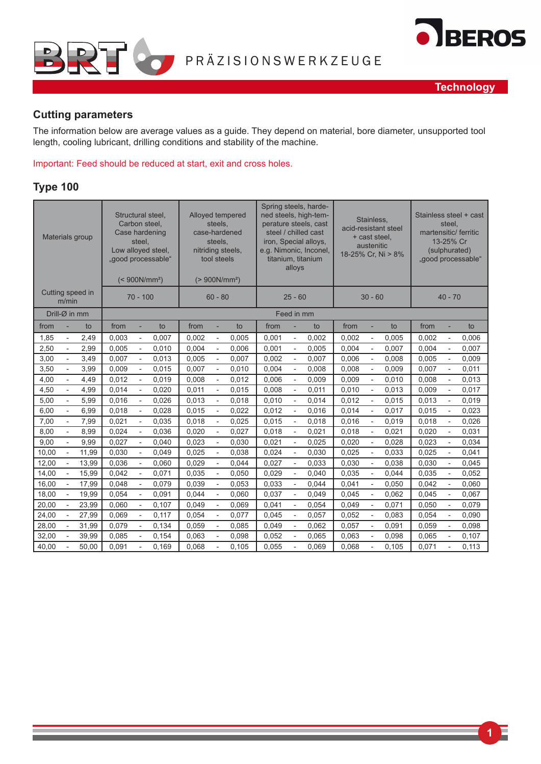



### **Cutting parameters**

The information below are average values as a guide. They depend on material, bore diameter, unsupported tool length, cooling lubricant, drilling conditions and stability of the machine.

Important: Feed should be reduced at start, exit and cross holes.

#### **Type 100**

|       |                          | Materials group  |       | steel,                   | Structural steel,<br>Carbon steel,<br>Case hardening<br>Low alloyed steel,<br>"good processable"<br>$(< 900N/mm^2)$ |       | steels,<br>steels,<br>tool steels | Alloyed tempered<br>case-hardened<br>nitriding steels,<br>$(> 900N/mm^2)$ |       | alloys                   | Spring steels, harde-<br>ned steels, high-tem-<br>perature steels, cast<br>steel / chilled cast<br>iron, Special alloys,<br>e.g. Nimonic, Inconel,<br>titanium, titanium | Stainless,<br>acid-resistant steel<br>+ cast steel,<br>austenitic<br>18-25% Cr, Ni > 8% |                |       | Stainless steel + cast<br>steel.<br>martensitic/ ferritic<br>13-25% Cr<br>(sulphurated)<br>"good processable" |                          |       |
|-------|--------------------------|------------------|-------|--------------------------|---------------------------------------------------------------------------------------------------------------------|-------|-----------------------------------|---------------------------------------------------------------------------|-------|--------------------------|--------------------------------------------------------------------------------------------------------------------------------------------------------------------------|-----------------------------------------------------------------------------------------|----------------|-------|---------------------------------------------------------------------------------------------------------------|--------------------------|-------|
|       | m/min                    | Cutting speed in |       | $70 - 100$               |                                                                                                                     |       | $60 - 80$                         |                                                                           |       | $25 - 60$                |                                                                                                                                                                          |                                                                                         | $30 - 60$      |       | $40 - 70$                                                                                                     |                          |       |
|       | Drill-Ø in mm            |                  |       |                          |                                                                                                                     |       |                                   |                                                                           |       | Feed in mm               |                                                                                                                                                                          |                                                                                         |                |       |                                                                                                               |                          |       |
| from  |                          | to               | from  | ä,                       | to                                                                                                                  | from  | ÷.                                | to                                                                        | from  |                          | to                                                                                                                                                                       | from                                                                                    | ×,             | to    | from                                                                                                          | L,                       | to    |
| 1,85  |                          | 2,49             | 0,003 |                          | 0,007                                                                                                               | 0,002 | $\frac{1}{2}$                     | 0,005                                                                     | 0,001 |                          | 0,002                                                                                                                                                                    | 0,002                                                                                   |                | 0,005 | 0,002                                                                                                         | $\overline{a}$           | 0,006 |
| 2,50  | $\overline{\phantom{a}}$ | 2,99             | 0,005 | $\overline{\phantom{0}}$ | 0,010                                                                                                               | 0,004 | $\overline{\phantom{a}}$          | 0,006                                                                     | 0,001 | $\overline{\phantom{a}}$ | 0,005                                                                                                                                                                    | 0,004                                                                                   | $\overline{a}$ | 0,007 | 0,004                                                                                                         | $\overline{\phantom{a}}$ | 0.007 |
| 3,00  | $\overline{a}$           | 3,49             | 0.007 | ÷,                       | 0,013                                                                                                               | 0,005 | $\overline{\phantom{a}}$          | 0.007                                                                     | 0,002 | $\overline{a}$           | 0,007                                                                                                                                                                    | 0,006                                                                                   | $\overline{a}$ | 0,008 | 0,005                                                                                                         | $\overline{\phantom{a}}$ | 0,009 |
| 3,50  | $\overline{a}$           | 3,99             | 0,009 | ÷,                       | 0,015                                                                                                               | 0,007 | $\overline{\phantom{a}}$          | 0,010                                                                     | 0,004 | $\overline{a}$           | 0,008                                                                                                                                                                    | 0,008                                                                                   | Ĭ.             | 0,009 | 0,007                                                                                                         | $\overline{\phantom{a}}$ | 0,011 |
| 4,00  |                          | 4,49             | 0,012 |                          | 0,019                                                                                                               | 0,008 | $\overline{a}$                    | 0,012                                                                     | 0,006 |                          | 0,009                                                                                                                                                                    | 0,009                                                                                   |                | 0,010 | 0,008                                                                                                         | $\overline{\phantom{a}}$ | 0,013 |
| 4,50  |                          | 4,99             | 0,014 |                          | 0,020                                                                                                               | 0,011 | $\overline{\phantom{a}}$          | 0,015                                                                     | 0,008 |                          | 0,011                                                                                                                                                                    | 0,010                                                                                   |                | 0,013 | 0,009                                                                                                         |                          | 0,017 |
| 5,00  | $\overline{\phantom{a}}$ | 5,99             | 0,016 | $\overline{a}$           | 0,026                                                                                                               | 0,013 | $\overline{\phantom{a}}$          | 0,018                                                                     | 0,010 | $\overline{a}$           | 0,014                                                                                                                                                                    | 0,012                                                                                   | L,             | 0,015 | 0,013                                                                                                         | $\overline{\phantom{a}}$ | 0,019 |
| 6,00  | $\overline{a}$           | 6,99             | 0,018 | ÷,                       | 0,028                                                                                                               | 0.015 | $\overline{\phantom{a}}$          | 0,022                                                                     | 0,012 |                          | 0,016                                                                                                                                                                    | 0,014                                                                                   | Ĭ.             | 0,017 | 0.015                                                                                                         | $\overline{\phantom{a}}$ | 0,023 |
| 7,00  |                          | 7,99             | 0,021 |                          | 0,035                                                                                                               | 0,018 | $\overline{\phantom{a}}$          | 0,025                                                                     | 0,015 |                          | 0,018                                                                                                                                                                    | 0,016                                                                                   |                | 0,019 | 0,018                                                                                                         | $\overline{\phantom{a}}$ | 0,026 |
| 8,00  |                          | 8,99             | 0,024 |                          | 0,036                                                                                                               | 0,020 | $\overline{\phantom{a}}$          | 0,027                                                                     | 0,018 |                          | 0,021                                                                                                                                                                    | 0,018                                                                                   |                | 0,021 | 0,020                                                                                                         | $\frac{1}{2}$            | 0,031 |
| 9,00  | $\overline{\phantom{a}}$ | 9,99             | 0,027 | $\overline{\phantom{0}}$ | 0,040                                                                                                               | 0,023 | $\blacksquare$                    | 0,030                                                                     | 0,021 | $\blacksquare$           | 0,025                                                                                                                                                                    | 0,020                                                                                   | $\overline{a}$ | 0,028 | 0,023                                                                                                         | $\overline{\phantom{a}}$ | 0,034 |
| 10,00 | $\overline{a}$           | 11,99            | 0,030 | ÷,                       | 0,049                                                                                                               | 0,025 | $\overline{\phantom{a}}$          | 0,038                                                                     | 0,024 | $\overline{\phantom{a}}$ | 0,030                                                                                                                                                                    | 0,025                                                                                   | $\overline{a}$ | 0,033 | 0,025                                                                                                         | $\overline{\phantom{a}}$ | 0,041 |
| 12,00 | $\overline{a}$           | 13,99            | 0,036 | ÷,                       | 0,060                                                                                                               | 0,029 | $\overline{\phantom{a}}$          | 0,044                                                                     | 0,027 | $\overline{a}$           | 0,033                                                                                                                                                                    | 0,030                                                                                   | $\overline{a}$ | 0,038 | 0,030                                                                                                         | $\overline{\phantom{a}}$ | 0,045 |
| 14,00 |                          | 15,99            | 0,042 |                          | 0,071                                                                                                               | 0,035 | ÷,                                | 0,050                                                                     | 0,029 |                          | 0,040                                                                                                                                                                    | 0,035                                                                                   |                | 0,044 | 0,035                                                                                                         | $\sim$                   | 0,052 |
| 16,00 |                          | 17,99            | 0.048 |                          | 0,079                                                                                                               | 0,039 |                                   | 0.053                                                                     | 0,033 |                          | 0,044                                                                                                                                                                    | 0.041                                                                                   |                | 0,050 | 0,042                                                                                                         |                          | 0,060 |
| 18,00 | $\overline{\phantom{m}}$ | 19,99            | 0.054 | $\overline{\phantom{a}}$ | 0,091                                                                                                               | 0.044 | $\overline{\phantom{a}}$          | 0.060                                                                     | 0,037 | $\overline{\phantom{0}}$ | 0.049                                                                                                                                                                    | 0.045                                                                                   | ÷,             | 0,062 | 0,045                                                                                                         | $\overline{\phantom{a}}$ | 0,067 |
| 20,00 |                          | 23,99            | 0.060 | $\frac{1}{2}$            | 0,107                                                                                                               | 0.049 | $\frac{1}{2}$                     | 0.069                                                                     | 0,041 |                          | 0,054                                                                                                                                                                    | 0,049                                                                                   | $\overline{a}$ | 0,071 | 0.050                                                                                                         | $\overline{\phantom{a}}$ | 0,079 |
| 24,00 |                          | 27,99            | 0,069 | L,                       | 0,117                                                                                                               | 0,054 | $\overline{\phantom{a}}$          | 0,077                                                                     | 0,045 | $\overline{a}$           | 0,057                                                                                                                                                                    | 0,052                                                                                   | L,             | 0,083 | 0,054                                                                                                         | $\overline{\phantom{a}}$ | 0,090 |
| 28,00 |                          | 31,99            | 0,079 |                          | 0,134                                                                                                               | 0,059 | $\overline{\phantom{a}}$          | 0,085                                                                     | 0,049 |                          | 0,062                                                                                                                                                                    | 0,057                                                                                   |                | 0,091 | 0,059                                                                                                         | $\frac{1}{2}$            | 0,098 |
| 32,00 |                          | 39,99            | 0,085 | $\overline{\phantom{a}}$ | 0,154                                                                                                               | 0,063 | $\overline{\phantom{a}}$          | 0,098                                                                     | 0,052 | $\overline{\phantom{a}}$ | 0,065                                                                                                                                                                    | 0,063                                                                                   | ÷,             | 0,098 | 0,065                                                                                                         | $\overline{\phantom{a}}$ | 0,107 |
| 40,00 |                          | 50,00            | 0,091 | $\overline{a}$           | 0,169                                                                                                               | 0,068 | ÷,                                | 0,105                                                                     | 0,055 |                          | 0,069                                                                                                                                                                    | 0,068                                                                                   | $\overline{a}$ | 0,105 | 0,071                                                                                                         | $\overline{a}$           | 0,113 |

**1**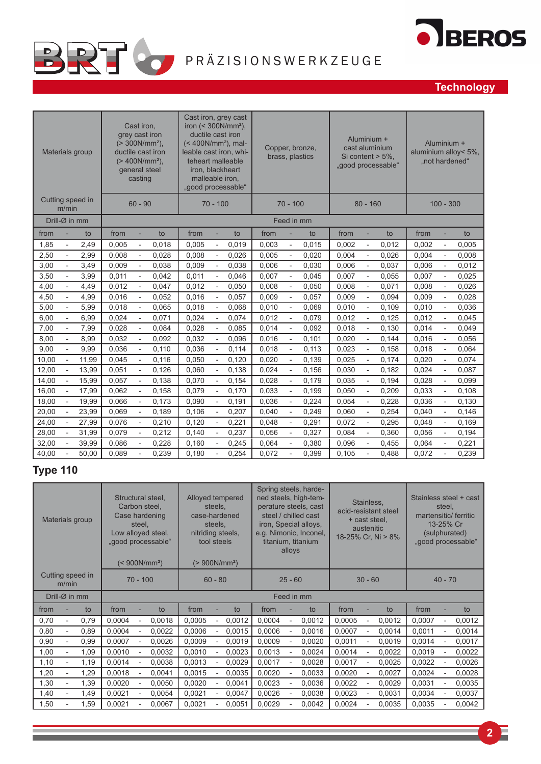



## **Technology**

| Materials group                   |       |       | Cast iron.<br>grey cast iron<br>general steel<br>casting | $(> 300N/mm^2)$ ,<br>ductile cast iron<br>$(> 400N/mm^2)$ , | Cast iron, grey cast<br>iron $(300N/mm^2),$<br>ductile cast iron<br>$(< 400N/mm^2)$ , mal-<br>leable cast iron, whi-<br>teheart malleable<br>iron, blackheart<br>malleable iron,<br>"good processable" |                          |       |       |                          | Copper, bronze,<br>brass, plastics |       | Aluminium +                  | cast aluminium<br>Si content $> 5\%$ .<br>"good processable" | Aluminium +<br>aluminium alloy< 5%,<br>"not hardened" |                              |       |
|-----------------------------------|-------|-------|----------------------------------------------------------|-------------------------------------------------------------|--------------------------------------------------------------------------------------------------------------------------------------------------------------------------------------------------------|--------------------------|-------|-------|--------------------------|------------------------------------|-------|------------------------------|--------------------------------------------------------------|-------------------------------------------------------|------------------------------|-------|
| Cutting speed in<br>m/min         |       |       | $60 - 90$                                                |                                                             |                                                                                                                                                                                                        | $70 - 100$               |       |       | $70 - 100$               |                                    |       | $80 - 160$                   | $100 - 300$                                                  |                                                       |                              |       |
| Drill-Ø in mm                     |       |       |                                                          |                                                             |                                                                                                                                                                                                        |                          |       |       |                          | Feed in mm                         |       |                              |                                                              |                                                       |                              |       |
| from                              | to    | from  | ÷.                                                       | to                                                          | from                                                                                                                                                                                                   |                          | to    | from  |                          | to                                 | from  | ÷                            | to                                                           | from                                                  | ÷                            | to    |
| 1,85<br>$\overline{\phantom{a}}$  | 2,49  | 0,005 | $\blacksquare$                                           | 0,018                                                       | 0,005                                                                                                                                                                                                  | $\overline{\phantom{m}}$ | 0,019 | 0,003 | $\overline{\phantom{a}}$ | 0,015                              | 0,002 | $\overline{a}$               | 0,012                                                        | 0,002                                                 | ÷,                           | 0,005 |
| 2,50<br>$\overline{a}$            | 2,99  | 0,008 | $\overline{\phantom{a}}$                                 | 0,028                                                       | 0,008                                                                                                                                                                                                  | Ĭ.                       | 0,026 | 0,005 | $\overline{a}$           | 0,020                              | 0,004 | $\overline{a}$               | 0,026                                                        | 0,004                                                 | $\overline{a}$               | 0,008 |
| 3,00<br>$\overline{\phantom{a}}$  | 3,49  | 0,009 | $\overline{\phantom{a}}$                                 | 0,038                                                       | 0,009                                                                                                                                                                                                  | $\overline{\phantom{a}}$ | 0,038 | 0,006 | $\overline{\phantom{a}}$ | 0,030                              | 0,006 | $\qquad \qquad \blacksquare$ | 0,037                                                        | 0,006                                                 | $\qquad \qquad \blacksquare$ | 0,012 |
| 3,50<br>$\overline{a}$            | 3,99  | 0,011 | $\overline{\phantom{a}}$                                 | 0,042                                                       | 0,011                                                                                                                                                                                                  | $\overline{a}$           | 0,046 | 0,007 | $\overline{\phantom{a}}$ | 0,045                              | 0,007 | ÷,                           | 0,055                                                        | 0,007                                                 | ÷,                           | 0,025 |
| 4,00<br>$\overline{a}$            | 4,49  | 0,012 | $\overline{\phantom{a}}$                                 | 0,047                                                       | 0,012                                                                                                                                                                                                  | $\overline{a}$           | 0,050 | 0,008 |                          | 0,050                              | 0,008 | $\overline{a}$               | 0,071                                                        | 0,008                                                 | ÷,                           | 0,026 |
| 4,50                              | 4,99  | 0,016 |                                                          | 0,052                                                       | 0,016                                                                                                                                                                                                  |                          | 0,057 | 0,009 |                          | 0,057                              | 0,009 |                              | 0,094                                                        | 0,009                                                 |                              | 0,028 |
| 5,00                              | 5,99  | 0,018 |                                                          | 0,065                                                       | 0,018                                                                                                                                                                                                  |                          | 0,068 | 0,010 |                          | 0,069                              | 0,010 |                              | 0,109                                                        | 0,010                                                 |                              | 0,036 |
| 6,00<br>$\overline{\phantom{a}}$  | 6,99  | 0,024 | $\overline{\phantom{a}}$                                 | 0,071                                                       | 0,024                                                                                                                                                                                                  | $\overline{\phantom{m}}$ | 0,074 | 0,012 | $\overline{\phantom{a}}$ | 0,079                              | 0,012 | $\overline{\phantom{0}}$     | 0,125                                                        | 0,012                                                 | $\overline{a}$               | 0,045 |
| 7,00<br>$\overline{a}$            | 7,99  | 0,028 | $\overline{\phantom{a}}$                                 | 0,084                                                       | 0,028                                                                                                                                                                                                  | $\overline{a}$           | 0,085 | 0,014 | $\overline{a}$           | 0,092                              | 0,018 | ÷,                           | 0,130                                                        | 0,014                                                 | ÷,                           | 0,049 |
| 8,00<br>$\overline{a}$            | 8,99  | 0,032 | $\overline{\phantom{a}}$                                 | 0,092                                                       | 0,032                                                                                                                                                                                                  | $\overline{a}$           | 0,096 | 0,016 |                          | 0,101                              | 0,020 | $\overline{a}$               | 0,144                                                        | 0,016                                                 | $\overline{a}$               | 0,056 |
| 9,00                              | 9,99  | 0,036 |                                                          | 0,110                                                       | 0,036                                                                                                                                                                                                  |                          | 0,114 | 0,018 |                          | 0,113                              | 0,023 |                              | 0,158                                                        | 0,018                                                 | Ĭ.                           | 0,064 |
| 10,00<br>$\overline{\phantom{a}}$ | 11,99 | 0,045 | $\overline{\phantom{a}}$                                 | 0,116                                                       | 0,050                                                                                                                                                                                                  | $\overline{\phantom{m}}$ | 0,120 | 0,020 | $\overline{\phantom{a}}$ | 0,139                              | 0,025 | $\overline{\phantom{a}}$     | 0,174                                                        | 0,020                                                 | $\frac{1}{2}$                | 0,074 |
| 12,00<br>÷,                       | 13,99 | 0,051 | $\overline{\phantom{a}}$                                 | 0,126                                                       | 0,060                                                                                                                                                                                                  | $\overline{a}$           | 0,138 | 0,024 | $\overline{\phantom{a}}$ | 0,156                              | 0,030 | ÷,                           | 0,182                                                        | 0,024                                                 | ÷,                           | 0,087 |
| 14,00<br>$\overline{\phantom{a}}$ | 15,99 | 0,057 | $\overline{\phantom{a}}$                                 | 0,138                                                       | 0,070                                                                                                                                                                                                  | $\overline{a}$           | 0,154 | 0,028 | $\overline{\phantom{a}}$ | 0,179                              | 0,035 | $\overline{\phantom{0}}$     | 0,194                                                        | 0,028                                                 | $\frac{1}{2}$                | 0,099 |
| 16,00                             | 17,99 | 0,062 | L,                                                       | 0,158                                                       | 0,079                                                                                                                                                                                                  | L,                       | 0,170 | 0,033 |                          | 0,199                              | 0,050 | L,                           | 0,209                                                        | 0,033                                                 | $\overline{a}$               | 0,108 |
| 18,00                             | 19,99 | 0,066 | $\overline{\phantom{a}}$                                 | 0,173                                                       | 0,090                                                                                                                                                                                                  |                          | 0,191 | 0,036 |                          | 0,224                              | 0,054 | $\overline{\phantom{a}}$     | 0,228                                                        | 0,036                                                 |                              | 0,130 |
| 20,00                             | 23,99 | 0.069 | $\overline{\phantom{a}}$                                 | 0,189                                                       | 0,106                                                                                                                                                                                                  | $\overline{\phantom{a}}$ | 0,207 | 0,040 | $\overline{\phantom{a}}$ | 0,249                              | 0,060 | $\overline{\phantom{a}}$     | 0,254                                                        | 0,040                                                 | $\blacksquare$               | 0,146 |
| 24,00                             | 27,99 | 0.076 | $\overline{\phantom{a}}$                                 | 0,210                                                       | 0,120                                                                                                                                                                                                  | $\overline{\phantom{0}}$ | 0,221 | 0,048 | $\overline{a}$           | 0,291                              | 0,072 | $\overline{\phantom{0}}$     | 0,295                                                        | 0.048                                                 | $\frac{1}{2}$                | 0,169 |
| 28,00                             | 31,99 | 0,079 |                                                          | 0,212                                                       | 0,140                                                                                                                                                                                                  | $\overline{a}$           | 0,237 | 0,056 |                          | 0,327                              | 0,084 |                              | 0,360                                                        | 0,056                                                 | ÷,                           | 0,194 |
| 32,00                             | 39,99 | 0,086 |                                                          | 0,228                                                       | 0,160                                                                                                                                                                                                  |                          | 0,245 | 0,064 |                          | 0,380                              | 0,096 |                              | 0,455                                                        | 0,064                                                 |                              | 0,221 |
| 40,00                             | 50.00 | 0,089 | $\overline{\phantom{0}}$                                 | 0.239                                                       | 0,180                                                                                                                                                                                                  |                          | 0.254 | 0.072 |                          | 0,399                              | 0,105 | L,                           | 0,488                                                        | 0,072                                                 |                              | 0,239 |

## **Type 110**

| Materials group                          | Structural steel,<br>Carbon steel,<br>Case hardening<br>steel,<br>Low alloyed steel,<br>"good processable"<br>$(< 900N/mm^2)$ | Alloyed tempered<br>steels.<br>case-hardened<br>steels,<br>nitriding steels,<br>tool steels<br>$(> 900N/mm^2)$ | Spring steels, harde-<br>ned steels, high-tem-<br>perature steels, cast<br>steel / chilled cast<br>iron, Special alloys,<br>e.g. Nimonic, Inconel,<br>titanium, titanium<br>alloys | Stainless,<br>acid-resistant steel<br>+ cast steel.<br>austenitic<br>18-25% Cr. Ni > 8% | Stainless steel + cast<br>steel,<br>martensitic/ ferritic<br>13-25% Cr<br>(sulphurated)<br>"good processable" |  |  |  |  |  |
|------------------------------------------|-------------------------------------------------------------------------------------------------------------------------------|----------------------------------------------------------------------------------------------------------------|------------------------------------------------------------------------------------------------------------------------------------------------------------------------------------|-----------------------------------------------------------------------------------------|---------------------------------------------------------------------------------------------------------------|--|--|--|--|--|
| Cutting speed in<br>m/min                | $70 - 100$                                                                                                                    | $60 - 80$                                                                                                      | $25 - 60$                                                                                                                                                                          | $30 - 60$                                                                               | $40 - 70$                                                                                                     |  |  |  |  |  |
| Drill- $\varnothing$ in mm               |                                                                                                                               | Feed in mm                                                                                                     |                                                                                                                                                                                    |                                                                                         |                                                                                                               |  |  |  |  |  |
| to                                       | from                                                                                                                          | from                                                                                                           | from                                                                                                                                                                               | from                                                                                    | from                                                                                                          |  |  |  |  |  |
| from                                     | to                                                                                                                            | to                                                                                                             | to                                                                                                                                                                                 | to                                                                                      | to                                                                                                            |  |  |  |  |  |
| 0,79<br>0,70<br>$\overline{\phantom{0}}$ | 0,0004<br>0,0018                                                                                                              | 0,0005<br>0,0012                                                                                               | 0,0004<br>0,0012                                                                                                                                                                   | 0,0005<br>0,0012<br>L,                                                                  | 0,0007<br>0,0012<br>L,                                                                                        |  |  |  |  |  |
| 0,89                                     | 0,0004                                                                                                                        | 0,0006                                                                                                         | 0,0006                                                                                                                                                                             | 0,0007                                                                                  | 0,0011                                                                                                        |  |  |  |  |  |
| 0,80                                     | 0,0022                                                                                                                        | 0,0015                                                                                                         | 0,0016                                                                                                                                                                             | 0,0014                                                                                  | 0,0014                                                                                                        |  |  |  |  |  |
| 0,90<br>0,99<br>$\overline{a}$           | 0,0007<br>0,0026                                                                                                              | 0,0009<br>0,0019                                                                                               | 0,0009<br>0,0020                                                                                                                                                                   | 0,0011<br>0,0019                                                                        | 0,0014<br>0,0017                                                                                              |  |  |  |  |  |
| 1,00                                     | 0,0010                                                                                                                        | 0,0010                                                                                                         | 0,0013                                                                                                                                                                             | 0,0014                                                                                  | 0,0019                                                                                                        |  |  |  |  |  |
| 1,09                                     | 0,0032                                                                                                                        | 0,0023                                                                                                         | 0,0024                                                                                                                                                                             | 0,0022                                                                                  | 0,0022                                                                                                        |  |  |  |  |  |
| 1,10                                     | 0,0014                                                                                                                        | 0,0013                                                                                                         | 0,0017                                                                                                                                                                             | 0,0017                                                                                  | 0,0022                                                                                                        |  |  |  |  |  |
| 1,19                                     | 0,0038                                                                                                                        | 0,0029                                                                                                         | 0,0028                                                                                                                                                                             | 0,0025                                                                                  | 0,0026                                                                                                        |  |  |  |  |  |
| 1,20                                     | 0,0018                                                                                                                        | 0,0015                                                                                                         | 0,0020                                                                                                                                                                             | 0,0020                                                                                  | 0,0024                                                                                                        |  |  |  |  |  |
| 1,29                                     | 0,0041                                                                                                                        | 0,0035                                                                                                         | 0,0033                                                                                                                                                                             | 0,0027                                                                                  | 0,0028                                                                                                        |  |  |  |  |  |
| 1,30                                     | 0,0020                                                                                                                        | 0,0020                                                                                                         | 0,0023                                                                                                                                                                             | 0,0022                                                                                  | 0,0031                                                                                                        |  |  |  |  |  |
| 1,39                                     | 0,0050                                                                                                                        | 0,0041                                                                                                         | 0,0036                                                                                                                                                                             | 0,0029                                                                                  | 0,0035                                                                                                        |  |  |  |  |  |
| 1,40                                     | 0,0021                                                                                                                        | 0,0021                                                                                                         | 0,0026                                                                                                                                                                             | 0,0023                                                                                  | 0,0034                                                                                                        |  |  |  |  |  |
| 1,49                                     | 0,0054                                                                                                                        | 0,0047                                                                                                         | 0,0038                                                                                                                                                                             | 0,0031                                                                                  | 0,0037                                                                                                        |  |  |  |  |  |
| 1,50                                     | 0,0021                                                                                                                        | 0,0021                                                                                                         | 0,0029                                                                                                                                                                             | 0,0024                                                                                  | 0,0035                                                                                                        |  |  |  |  |  |
| 1,59                                     | 0,0067                                                                                                                        | 0,0051                                                                                                         | 0,0042                                                                                                                                                                             | 0,0035                                                                                  | 0,0042                                                                                                        |  |  |  |  |  |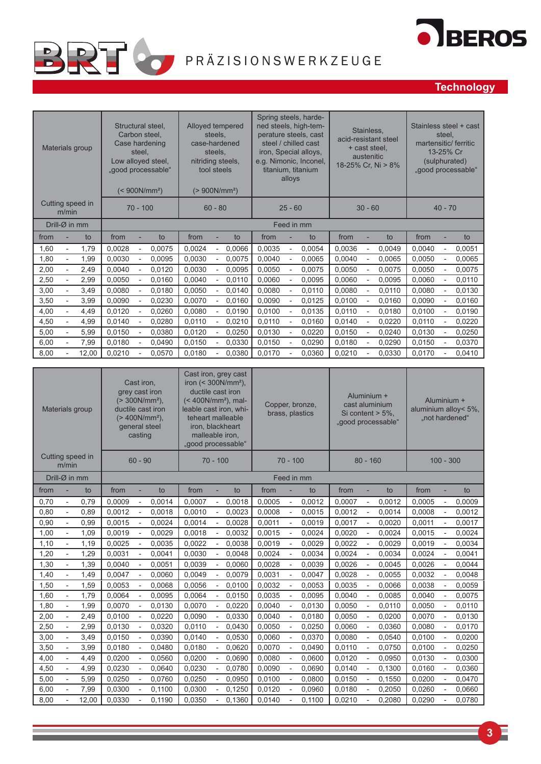

# OBEROS

## **Technology**

| Materials group                          | Structural steel,<br>Carbon steel.<br>Case hardening<br>steel.<br>Low alloyed steel,<br>"good processable"<br>$(< 900N/mm^2)$ | Alloyed tempered<br>steels.<br>case-hardened<br>steels,<br>nitriding steels,<br>tool steels<br>$(> 900N/mm^2)$ | Spring steels, harde-<br>ned steels, high-tem-<br>perature steels, cast<br>steel / chilled cast<br>iron, Special alloys,<br>e.g. Nimonic, Inconel,<br>titanium, titanium<br>alloys | Stainless,<br>acid-resistant steel<br>+ cast steel,<br>austenitic<br>18-25% Cr. Ni > 8% | Stainless steel + cast<br>steel.<br>martensitic/ ferritic<br>13-25% Cr<br>(sulphurated)<br>"good processable" |  |  |  |
|------------------------------------------|-------------------------------------------------------------------------------------------------------------------------------|----------------------------------------------------------------------------------------------------------------|------------------------------------------------------------------------------------------------------------------------------------------------------------------------------------|-----------------------------------------------------------------------------------------|---------------------------------------------------------------------------------------------------------------|--|--|--|
| Cutting speed in<br>m/min                | $70 - 100$                                                                                                                    | $60 - 80$                                                                                                      | $25 - 60$                                                                                                                                                                          | $30 - 60$                                                                               | $40 - 70$                                                                                                     |  |  |  |
| Drill- $\varnothing$ in mm               |                                                                                                                               |                                                                                                                | Feed in mm                                                                                                                                                                         |                                                                                         |                                                                                                               |  |  |  |
| from<br>to                               | from<br>to                                                                                                                    | from<br>to                                                                                                     | from<br>to                                                                                                                                                                         | from<br>to                                                                              | from<br>to                                                                                                    |  |  |  |
| 1,60<br>1.79<br>$\overline{\phantom{a}}$ | 0,0028<br>0,0075                                                                                                              | 0,0024<br>0,0066<br>$\overline{a}$                                                                             | 0,0035<br>0.0054                                                                                                                                                                   | 0.0036<br>0,0049                                                                        | 0,0040<br>0,0051                                                                                              |  |  |  |
| 1,80<br>1,99<br>$\overline{\phantom{a}}$ | 0,0030<br>0,0095                                                                                                              | 0,0030<br>0,0075                                                                                               | 0,0040<br>0,0065                                                                                                                                                                   | 0,0040<br>0,0065                                                                        | 0,0050<br>0,0065                                                                                              |  |  |  |
| 2,00<br>2,49<br>$\overline{a}$           | 0,0040<br>0,0120                                                                                                              | 0,0030<br>0,0095                                                                                               | 0,0050<br>0,0075                                                                                                                                                                   | 0,0050<br>0,0075<br>L,                                                                  | 0,0050<br>0,0075<br>$\overline{\phantom{0}}$                                                                  |  |  |  |
| 2,50<br>2,99<br>L,                       | 0,0050<br>0,0160                                                                                                              | 0,0040<br>0,0110                                                                                               | 0,0060<br>0,0095                                                                                                                                                                   | 0,0060<br>0,0095<br>$\overline{a}$                                                      | 0,0060<br>0,0110<br>$\overline{\phantom{0}}$                                                                  |  |  |  |
| 3,00<br>3,49                             | 0,0080<br>0,0180                                                                                                              | 0,0050<br>0,0140                                                                                               | 0,0080<br>0,0110                                                                                                                                                                   | 0,0080<br>0,0110<br>ł,                                                                  | 0,0080<br>0,0130                                                                                              |  |  |  |
| 3,50<br>3,99<br>$\overline{\phantom{a}}$ | 0,0090<br>0,0230                                                                                                              | 0,0070<br>0,0160<br>$\overline{\phantom{a}}$                                                                   | 0,0090<br>0,0125                                                                                                                                                                   | 0,0100<br>0,0160<br>$\overline{\phantom{0}}$                                            | 0,0090<br>0,0160<br>$\overline{\phantom{0}}$                                                                  |  |  |  |
| 4,00<br>4,49                             | 0,0120<br>0,0260                                                                                                              | 0,0080<br>0,0190                                                                                               | 0,0100<br>0,0135                                                                                                                                                                   | 0,0110<br>0,0180                                                                        | 0,0100<br>0,0190                                                                                              |  |  |  |
| 4,50<br>4,99                             | 0,0140<br>0,0280                                                                                                              | 0,0110<br>0,0210                                                                                               | 0,0110<br>0,0160                                                                                                                                                                   | 0,0140<br>0,0220                                                                        | 0,0220<br>0,0110                                                                                              |  |  |  |
| 5,00<br>5,99<br>$\overline{\phantom{m}}$ | 0,0150<br>0,0380                                                                                                              | 0,0120<br>0,0250                                                                                               | 0,0130<br>0,0220                                                                                                                                                                   | 0,0150<br>0,0240<br>÷,                                                                  | 0,0130<br>0,0250<br>$\overline{\phantom{0}}$                                                                  |  |  |  |
| 6,00<br>7,99                             | 0.0180<br>0,0490                                                                                                              | 0,0150<br>0,0330                                                                                               | 0,0150<br>0,0290                                                                                                                                                                   | 0,0180<br>0,0290                                                                        | 0,0150<br>0,0370                                                                                              |  |  |  |
| 8,00<br>12,00                            | 0,0210<br>0,0570                                                                                                              | 0,0180<br>0,0380                                                                                               | 0,0170<br>0,0360                                                                                                                                                                   | 0,0210<br>0,0330                                                                        | 0,0170<br>0,0410                                                                                              |  |  |  |
|                                          |                                                                                                                               |                                                                                                                |                                                                                                                                                                                    |                                                                                         |                                                                                                               |  |  |  |
|                                          | Cast iron                                                                                                                     | Cast iron, grey cast<br>$iron \leq 300$ N/mm <sup>2</sup> )                                                    |                                                                                                                                                                                    |                                                                                         |                                                                                                               |  |  |  |

| Materials group |                           |       | Cast iron,<br>grey cast iron<br>$(> 300N/mm^2),$<br>ductile cast iron<br>$(> 400N/mm^2),$<br>general steel<br>casting |                          |        | Gast IIOH, yrey cast<br>iron $(300N/mm^2),$<br>ductile cast iron<br>$(< 400N/mm^2)$ , mal-<br>leable cast iron, whi-<br>teheart malleable<br>iron, blackheart<br>malleable iron,<br>"good processable" |                          |        |        |                          | Copper, bronze,<br>brass, plastics |        | Aluminium +<br>cast aluminium<br>Si content $> 5\%$ .<br>"good processable" |        |        | Aluminium +<br>aluminium alloy< 5%,<br>"not hardened" |        |  |
|-----------------|---------------------------|-------|-----------------------------------------------------------------------------------------------------------------------|--------------------------|--------|--------------------------------------------------------------------------------------------------------------------------------------------------------------------------------------------------------|--------------------------|--------|--------|--------------------------|------------------------------------|--------|-----------------------------------------------------------------------------|--------|--------|-------------------------------------------------------|--------|--|
|                 | Cutting speed in<br>m/min |       |                                                                                                                       | $60 - 90$                |        |                                                                                                                                                                                                        | $70 - 100$               |        |        | $70 - 100$<br>$80 - 160$ |                                    |        |                                                                             |        |        | $100 - 300$                                           |        |  |
| Drill-Ø in mm   |                           |       |                                                                                                                       |                          |        |                                                                                                                                                                                                        |                          |        |        |                          | Feed in mm                         |        |                                                                             |        |        |                                                       |        |  |
| from            |                           | to    | from                                                                                                                  |                          | to     | from                                                                                                                                                                                                   |                          | to     | from   |                          | to                                 | from   |                                                                             | to     | from   |                                                       | to     |  |
| 0,70            | $\overline{\phantom{m}}$  | 0,79  | 0.0009                                                                                                                | $\overline{\phantom{a}}$ | 0,0014 | 0.0007                                                                                                                                                                                                 | $\overline{\phantom{a}}$ | 0.0018 | 0.0005 | $\overline{\phantom{a}}$ | 0,0012                             | 0.0007 | L,                                                                          | 0,0012 | 0.0005 | $\blacksquare$                                        | 0,0009 |  |
| 0,80            |                           | 0,89  | 0,0012                                                                                                                |                          | 0,0018 | 0,0010                                                                                                                                                                                                 |                          | 0,0023 | 0,0008 |                          | 0,0015                             | 0,0012 |                                                                             | 0,0014 | 0,0008 |                                                       | 0,0012 |  |
| 0,90            | $\overline{a}$            | 0,99  | 0,0015                                                                                                                |                          | 0,0024 | 0,0014                                                                                                                                                                                                 | $\overline{\phantom{a}}$ | 0.0028 | 0,0011 |                          | 0,0019                             | 0,0017 | L,                                                                          | 0,0020 | 0,0011 | $\overline{a}$                                        | 0,0017 |  |
| 1,00            |                           | 1,09  | 0,0019                                                                                                                |                          | 0,0029 | 0,0018                                                                                                                                                                                                 | $\overline{\phantom{a}}$ | 0,0032 | 0,0015 |                          | 0,0024                             | 0,0020 |                                                                             | 0,0024 | 0,0015 |                                                       | 0,0024 |  |
| 1,10            |                           | 1,19  | 0,0025                                                                                                                |                          | 0,0035 | 0,0022                                                                                                                                                                                                 |                          | 0,0038 | 0,0019 |                          | 0,0029                             | 0,0022 |                                                                             | 0,0029 | 0,0019 |                                                       | 0,0034 |  |
| 1,20            |                           | 1,29  | 0,0031                                                                                                                |                          | 0,0041 | 0,0030                                                                                                                                                                                                 |                          | 0,0048 | 0,0024 |                          | 0,0034                             | 0,0024 |                                                                             | 0,0034 | 0,0024 |                                                       | 0,0041 |  |
| 1,30            |                           | 1,39  | 0,0040                                                                                                                |                          | 0,0051 | 0,0039                                                                                                                                                                                                 | $\overline{a}$           | 0,0060 | 0,0028 |                          | 0,0039                             | 0,0026 |                                                                             | 0,0045 | 0,0026 |                                                       | 0,0044 |  |
| 1,40            | $\overline{a}$            | 1,49  | 0,0047                                                                                                                |                          | 0,0060 | 0,0049                                                                                                                                                                                                 |                          | 0,0079 | 0,0031 |                          | 0,0047                             | 0,0028 |                                                                             | 0,0055 | 0,0032 |                                                       | 0,0048 |  |
| 1,50            | $\overline{a}$            | 1,59  | 0,0053                                                                                                                |                          | 0,0068 | 0,0056                                                                                                                                                                                                 |                          | 0,0100 | 0,0032 |                          | 0,0053                             | 0,0035 |                                                                             | 0,0066 | 0,0038 |                                                       | 0,0059 |  |
| 1,60            | L,                        | 1,79  | 0,0064                                                                                                                |                          | 0,0095 | 0,0064                                                                                                                                                                                                 |                          | 0,0150 | 0,0035 |                          | 0,0095                             | 0,0040 |                                                                             | 0,0085 | 0,0040 |                                                       | 0,0075 |  |
| 1,80            | $\overline{\phantom{a}}$  | 1,99  | 0,0070                                                                                                                |                          | 0,0130 | 0,0070                                                                                                                                                                                                 |                          | 0,0220 | 0,0040 |                          | 0,0130                             | 0,0050 | ÷,                                                                          | 0,0110 | 0,0050 | $\overline{\phantom{0}}$                              | 0,0110 |  |
| 2,00            | $\overline{a}$            | 2,49  | 0.0100                                                                                                                |                          | 0,0220 | 0,0090                                                                                                                                                                                                 | $\overline{\phantom{m}}$ | 0,0330 | 0,0040 |                          | 0,0180                             | 0,0050 | Ĭ.                                                                          | 0,0200 | 0,0070 | $\overline{\phantom{0}}$                              | 0,0130 |  |
| 2,50            |                           | 2,99  | 0,0130                                                                                                                |                          | 0,0320 | 0,0110                                                                                                                                                                                                 |                          | 0,0430 | 0,0050 |                          | 0,0250                             | 0,0060 |                                                                             | 0,0360 | 0,0080 |                                                       | 0,0170 |  |
| 3,00            | $\overline{\phantom{m}}$  | 3,49  | 0,0150                                                                                                                |                          | 0,0390 | 0,0140                                                                                                                                                                                                 |                          | 0,0530 | 0,0060 |                          | 0,0370                             | 0,0080 |                                                                             | 0,0540 | 0,0100 | $\overline{a}$                                        | 0,0200 |  |
| 3,50            | L,                        | 3,99  | 0,0180                                                                                                                |                          | 0,0480 | 0,0180                                                                                                                                                                                                 | $\overline{a}$           | 0,0620 | 0,0070 |                          | 0,0490                             | 0,0110 | L,                                                                          | 0,0750 | 0,0100 | $\overline{a}$                                        | 0,0250 |  |
| 4,00            |                           | 4,49  | 0,0200                                                                                                                |                          | 0,0560 | 0,0200                                                                                                                                                                                                 |                          | 0,0690 | 0,0080 |                          | 0,0600                             | 0,0120 |                                                                             | 0,0950 | 0,0130 |                                                       | 0,0300 |  |
| 4,50            | $\overline{\phantom{m}}$  | 4,99  | 0,0230                                                                                                                |                          | 0,0640 | 0,0230                                                                                                                                                                                                 | $\overline{\phantom{a}}$ | 0,0780 | 0,0090 |                          | 0,0690                             | 0,0140 | L,                                                                          | 0,1300 | 0,0160 | $\overline{\phantom{0}}$                              | 0,0360 |  |
| 5,00            |                           | 5,99  | 0,0250                                                                                                                | $\sim$                   | 0,0760 | 0,0250                                                                                                                                                                                                 | $\frac{1}{2}$            | 0,0950 | 0,0100 | $\overline{\phantom{a}}$ | 0,0800                             | 0,0150 | $\overline{\phantom{a}}$                                                    | 0,1550 | 0,0200 | $\overline{a}$                                        | 0,0470 |  |
| 6,00            | $\overline{a}$            | 7,99  | 0,0300                                                                                                                |                          | 0,1100 | 0,0300                                                                                                                                                                                                 |                          | 0.1250 | 0,0120 |                          | 0,0960                             | 0.0180 |                                                                             | 0,2050 | 0,0260 |                                                       | 0,0660 |  |
| 8,00            |                           | 12,00 | 0,0330                                                                                                                |                          | 0,1190 | 0,0350                                                                                                                                                                                                 |                          | 0,1360 | 0,0140 |                          | 0,1100                             | 0,0210 |                                                                             | 0,2080 | 0,0290 |                                                       | 0,0780 |  |